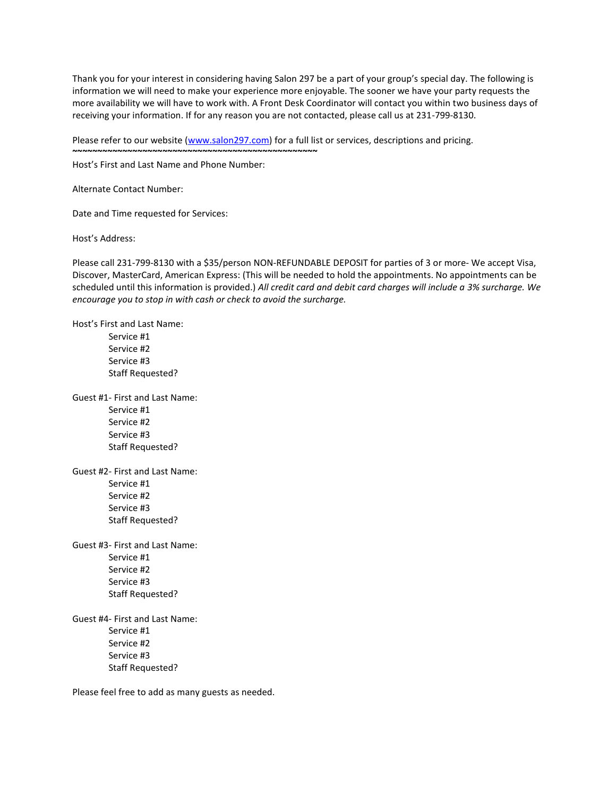Thank you for your interest in considering having Salon 297 be a part of your group's special day. The following is information we will need to make your experience more enjoyable. The sooner we have your party requests the more availability we will have to work with. A Front Desk Coordinator will contact you within two business days of receiving your information. If for any reason you are not contacted, please call us at 231-799-8130.

Please refer to our website [\(www.salon297.com\)](https://na01.safelinks.protection.outlook.com/?url=http%3A%2F%2Fwww.salon297.com&data=02%7C01%7Cbustosi%40ghsp.com%7C67c2258cfb4e443569ca08d57a067ca9%7C93b8b1d76dd54b05b70ecbf2cfff7052%7C1%7C0%7C636549090650057947&sdata=WrwsmDuzd6i1tzCw%2BWyJj6P8%2FLKE2hSH7eLg1pl6S0M%3D&reserved=0) for a full list or services, descriptions and pricing.

Host's First and Last Name and Phone Number:

**~~~~~~~~~~~~~~~~~~~~~~~~~~~~~~~~~~~~~~~~~~~~~~~~~**

Alternate Contact Number:

Date and Time requested for Services:

Host's Address:

Please call 231-799-8130 with a \$35/person NON-REFUNDABLE DEPOSIT for parties of 3 or more- We accept Visa, Discover, MasterCard, American Express: (This will be needed to hold the appointments. No appointments can be scheduled until this information is provided.) *All credit card and debit card charges will include a 3% surcharge. We encourage you to stop in with cash or check to avoid the surcharge.*

Host's First and Last Name:

Service #1 Service #2 Service #3 Staff Requested?

Guest #1- First and Last Name: Service #1 Service #2 Service #3 Staff Requested?

Guest #2- First and Last Name: Service #1 Service #2 Service #3 Staff Requested?

Guest #3- First and Last Name: Service #1 Service #2 Service #3 Staff Requested?

Guest #4- First and Last Name: Service #1 Service #2 Service #3 Staff Requested?

Please feel free to add as many guests as needed.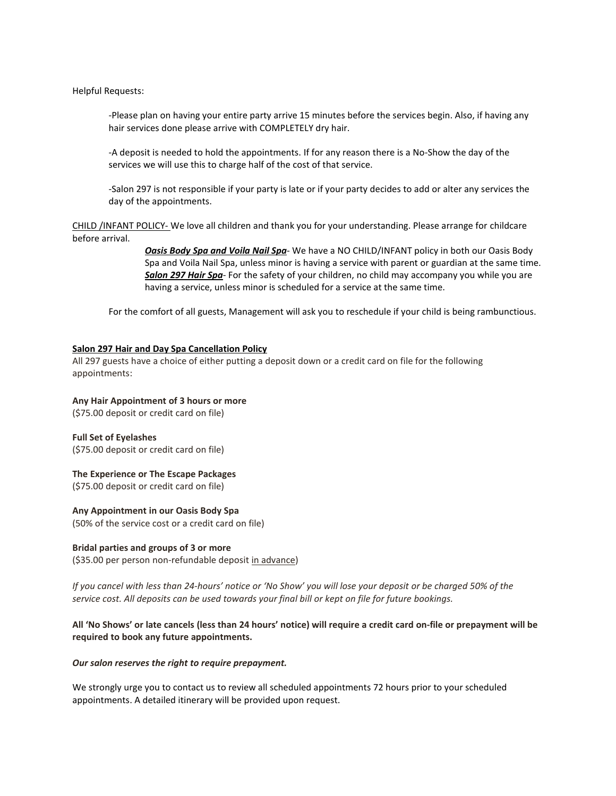Helpful Requests:

-Please plan on having your entire party arrive 15 minutes before the services begin. Also, if having any hair services done please arrive with COMPLETELY dry hair.

-A deposit is needed to hold the appointments. If for any reason there is a No-Show the day of the services we will use this to charge half of the cost of that service.

-Salon 297 is not responsible if your party is late or if your party decides to add or alter any services the day of the appointments.

CHILD /INFANT POLICY- We love all children and thank you for your understanding. Please arrange for childcare before arrival.

> *Oasis Body Spa and Voila Nail Spa*- We have a NO CHILD/INFANT policy in both our Oasis Body Spa and Voila Nail Spa, unless minor is having a service with parent or guardian at the same time. *Salon 297 Hair Spa*- For the safety of your children, no child may accompany you while you are having a service, unless minor is scheduled for a service at the same time.

For the comfort of all guests, Management will ask you to reschedule if your child is being rambunctious.

#### **Salon 297 Hair and Day Spa Cancellation Policy**

All 297 guests have a choice of either putting a deposit down or a credit card on file for the following appointments:

#### **Any Hair Appointment of 3 hours or more**

(\$75.00 deposit or credit card on file)

# **Full Set of Eyelashes**

(\$75.00 deposit or credit card on file)

#### **The Experience or The Escape Packages**

(\$75.00 deposit or credit card on file)

#### **Any Appointment in our Oasis Body Spa**

(50% of the service cost or a credit card on file)

### **Bridal parties and groups of 3 or more**

(\$35.00 per person non-refundable deposit in advance)

If you cancel with less than 24-hours' notice or 'No Show' you will lose your deposit or be charged 50% of the service cost. All deposits can be used towards your final bill or kept on file for future bookings.

### All 'No Shows' or late cancels (less than 24 hours' notice) will require a credit card on-file or prepayment will be **required to book any future appointments.**

#### *Our salon reserves the right to require prepayment.*

We strongly urge you to contact us to review all scheduled appointments 72 hours prior to your scheduled appointments. A detailed itinerary will be provided upon request.